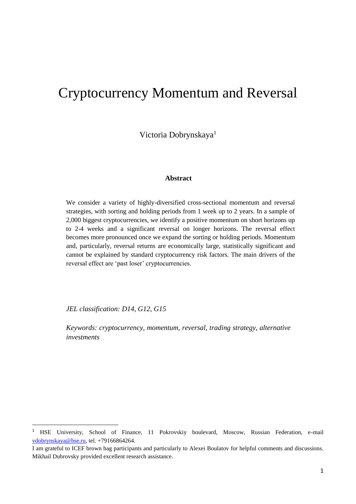# Cryptocurrency Momentum and Reversal

Victoria Dobrynskaya<sup>1</sup>

### **Abstract**

We consider a variety of highly-diversified cross-sectional momentum and reversal strategies, with sorting and holding periods from 1 week up to 2 years. In a sample of 2,000 biggest cryptocurrencies, we identify a positive momentum on short horizons up to 2-4 weeks and a significant reversal on longer horizons. The reversal effect becomes more pronounced once we expand the sorting or holding periods. Momentum and, particularly, reversal returns are economically large, statistically significant and cannot be explained by standard cryptocurrency risk factors. The main drivers of the reversal effect are 'past loser' cryptocurrencies.

*JEL classification: D14, G12, G15*

**.** 

*Keywords: cryptocurrency, momentum, reversal, trading strategy, alternative investments*

<sup>&</sup>lt;sup>1</sup> HSE University, School of Finance, 11 Pokrovskiy boulevard, Moscow, Russian Federation, e-mail [vdobrynskaya@hse.ru,](mailto:vdobrynskaya@hse.ru) tel. +79166864264.

I am grateful to ICEF brown bag participants and particularly to Alexei Boulatov for helpful comments and discussions. Mikhail Dubrovsky provided excellent research assistance.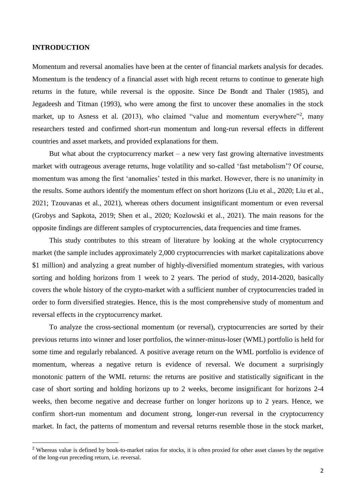#### **INTRODUCTION**

**.** 

Momentum and reversal anomalies have been at the center of financial markets analysis for decades. Momentum is the tendency of a financial asset with high recent returns to continue to generate high returns in the future, while reversal is the opposite. Since De Bondt and Thaler (1985), and Jegadeesh and Titman (1993), who were among the first to uncover these anomalies in the stock market, up to Asness et al.  $(2013)$ , who claimed "value and momentum everywhere"<sup>2</sup>, many researchers tested and confirmed short-run momentum and long-run reversal effects in different countries and asset markets, and provided explanations for them.

But what about the cryptocurrency market – a new very fast growing alternative investments market with outrageous average returns, huge volatility and so-called 'fast metabolism'? Of course, momentum was among the first 'anomalies' tested in this market. However, there is no unanimity in the results. Some authors identify the momentum effect on short horizons (Liu et al., 2020; Liu et al., 2021; Tzouvanas et al., 2021), whereas others document insignificant momentum or even reversal (Grobys and Sapkota, 2019; Shen et al., 2020; Kozlowski et al., 2021). The main reasons for the opposite findings are different samples of cryptocurrencies, data frequencies and time frames.

This study contributes to this stream of literature by looking at the whole cryptocurrency market (the sample includes approximately 2,000 cryptocurrencies with market capitalizations above \$1 million) and analyzing a great number of highly-diversified momentum strategies, with various sorting and holding horizons from 1 week to 2 years. The period of study, 2014-2020, basically covers the whole history of the crypto-market with a sufficient number of cryptocurrencies traded in order to form diversified strategies. Hence, this is the most comprehensive study of momentum and reversal effects in the cryptocurrency market.

To analyze the cross-sectional momentum (or reversal), cryptocurrencies are sorted by their previous returns into winner and loser portfolios, the winner-minus-loser (WML) portfolio is held for some time and regularly rebalanced. A positive average return on the WML portfolio is evidence of momentum, whereas a negative return is evidence of reversal. We document a surprisingly monotonic pattern of the WML returns: the returns are positive and statistically significant in the case of short sorting and holding horizons up to 2 weeks, become insignificant for horizons 2-4 weeks, then become negative and decrease further on longer horizons up to 2 years. Hence, we confirm short-run momentum and document strong, longer-run reversal in the cryptocurrency market. In fact, the patterns of momentum and reversal returns resemble those in the stock market,

<sup>&</sup>lt;sup>2</sup> Whereas value is defined by book-to-market ratios for stocks, it is often proxied for other asset classes by the negative of the long-run preceding return, i.e. reversal.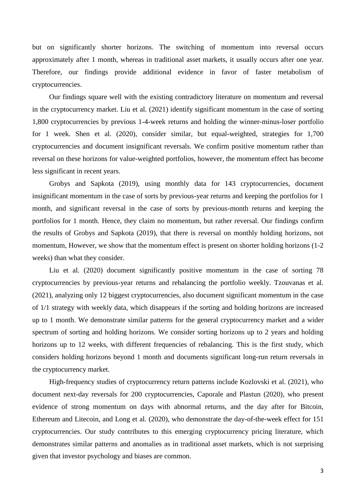but on significantly shorter horizons. The switching of momentum into reversal occurs approximately after 1 month, whereas in traditional asset markets, it usually occurs after one year. Therefore, our findings provide additional evidence in favor of faster metabolism of cryptocurrencies.

Our findings square well with the existing contradictory literature on momentum and reversal in the cryptocurrency market. Liu et al. (2021) identify significant momentum in the case of sorting 1,800 cryptocurrencies by previous 1-4-week returns and holding the winner-minus-loser portfolio for 1 week. Shen et al. (2020), consider similar, but equal-weighted, strategies for 1,700 cryptocurrencies and document insignificant reversals. We confirm positive momentum rather than reversal on these horizons for value-weighted portfolios, however, the momentum effect has become less significant in recent years.

Grobys and Sapkota (2019), using monthly data for 143 cryptocurrencies, document insignificant momentum in the case of sorts by previous-year returns and keeping the portfolios for 1 month, and significant reversal in the case of sorts by previous-month returns and keeping the portfolios for 1 month. Hence, they claim no momentum, but rather reversal. Our findings confirm the results of Grobys and Sapkota (2019), that there is reversal on monthly holding horizons, not momentum, However, we show that the momentum effect is present on shorter holding horizons (1-2 weeks) than what they consider.

Liu et al. (2020) document significantly positive momentum in the case of sorting 78 cryptocurrencies by previous-year returns and rebalancing the portfolio weekly. Tzouvanas et al. (2021), analyzing only 12 biggest cryptocurrencies, also document significant momentum in the case of 1/1 strategy with weekly data, which disappears if the sorting and holding horizons are increased up to 1 month. We demonstrate similar patterns for the general cryptocurrency market and a wider spectrum of sorting and holding horizons. We consider sorting horizons up to 2 years and holding horizons up to 12 weeks, with different frequencies of rebalancing. This is the first study, which considers holding horizons beyond 1 month and documents significant long-run return reversals in the cryptocurrency market.

High-frequency studies of cryptocurrency return patterns include Kozlovski et al. (2021), who document next-day reversals for 200 cryptocurrencies, Caporale and Plastun (2020), who present evidence of strong momentum on days with abnormal returns, and the day after for Bitcoin, Ethereum and Litecoin, and Long et al. (2020), who demonstrate the day-of-the-week effect for 151 cryptocurrencies. Our study contributes to this emerging cryptocurrency pricing literature, which demonstrates similar patterns and anomalies as in traditional asset markets, which is not surprising given that investor psychology and biases are common.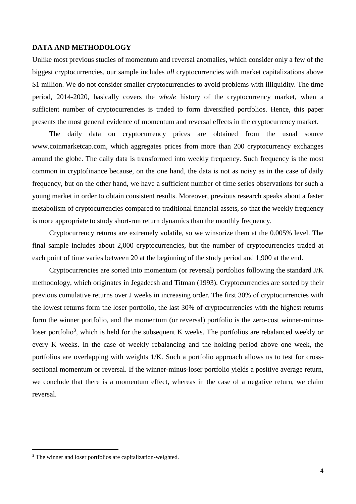#### **DATA AND METHODOLOGY**

Unlike most previous studies of momentum and reversal anomalies, which consider only a few of the biggest cryptocurrencies, our sample includes *all* cryptocurrencies with market capitalizations above \$1 million. We do not consider smaller cryptocurrencies to avoid problems with illiquidity. The time period, 2014-2020, basically covers the *whole* history of the cryptocurrency market, when a sufficient number of cryptocurrencies is traded to form diversified portfolios. Hence, this paper presents the most general evidence of momentum and reversal effects in the cryptocurrency market.

The daily data on cryptocurrency prices are obtained from the usual source www.coinmarketcap.com, which aggregates prices from more than 200 cryptocurrency exchanges around the globe. The daily data is transformed into weekly frequency. Such frequency is the most common in cryptofinance because, on the one hand, the data is not as noisy as in the case of daily frequency, but on the other hand, we have a sufficient number of time series observations for such a young market in order to obtain consistent results. Moreover, previous research speaks about a faster metabolism of cryptocurrencies compared to traditional financial assets, so that the weekly frequency is more appropriate to study short-run return dynamics than the monthly frequency.

Cryptocurrency returns are extremely volatile, so we winsorize them at the 0.005% level. The final sample includes about 2,000 cryptocurrencies, but the number of cryptocurrencies traded at each point of time varies between 20 at the beginning of the study period and 1,900 at the end.

Cryptocurrencies are sorted into momentum (or reversal) portfolios following the standard J/K methodology, which originates in Jegadeesh and Titman (1993). Cryptocurrencies are sorted by their previous cumulative returns over J weeks in increasing order. The first 30% of cryptocurrencies with the lowest returns form the loser portfolio, the last 30% of cryptocurrencies with the highest returns form the winner portfolio, and the momentum (or reversal) portfolio is the zero-cost winner-minusloser portfolio<sup>3</sup>, which is held for the subsequent K weeks. The portfolios are rebalanced weekly or every K weeks. In the case of weekly rebalancing and the holding period above one week, the portfolios are overlapping with weights 1/K. Such a portfolio approach allows us to test for crosssectional momentum or reversal. If the winner-minus-loser portfolio yields a positive average return, we conclude that there is a momentum effect, whereas in the case of a negative return, we claim reversal.

 $\overline{a}$ 

<sup>&</sup>lt;sup>3</sup> The winner and loser portfolios are capitalization-weighted.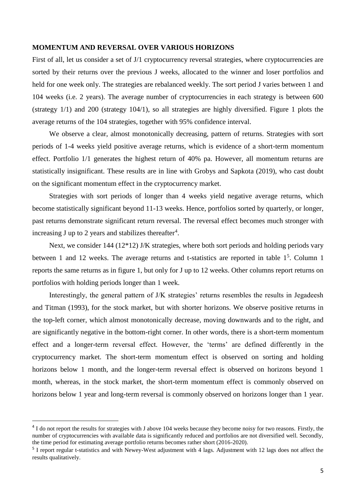#### **MOMENTUM AND REVERSAL OVER VARIOUS HORIZONS**

First of all, let us consider a set of J/1 cryptocurrency reversal strategies, where cryptocurrencies are sorted by their returns over the previous J weeks, allocated to the winner and loser portfolios and held for one week only. The strategies are rebalanced weekly. The sort period J varies between 1 and 104 weeks (i.e. 2 years). The average number of cryptocurrencies in each strategy is between 600 (strategy 1/1) and 200 (strategy 104/1), so all strategies are highly diversified. Figure 1 plots the average returns of the 104 strategies, together with 95% confidence interval.

We observe a clear, almost monotonically decreasing, pattern of returns. Strategies with sort periods of 1-4 weeks yield positive average returns, which is evidence of a short-term momentum effect. Portfolio 1/1 generates the highest return of 40% pa. However, all momentum returns are statistically insignificant. These results are in line with Grobys and Sapkota (2019), who cast doubt on the significant momentum effect in the cryptocurrency market.

Strategies with sort periods of longer than 4 weeks yield negative average returns, which become statistically significant beyond 11-13 weeks. Hence, portfolios sorted by quarterly, or longer, past returns demonstrate significant return reversal. The reversal effect becomes much stronger with increasing J up to 2 years and stabilizes thereafter<sup>4</sup>.

Next, we consider 144 (12<sup>\*</sup>12) J/K strategies, where both sort periods and holding periods vary between 1 and 12 weeks. The average returns and t-statistics are reported in table  $1<sup>5</sup>$ . Column 1 reports the same returns as in figure 1, but only for J up to 12 weeks. Other columns report returns on portfolios with holding periods longer than 1 week.

Interestingly, the general pattern of J/K strategies' returns resembles the results in Jegadeesh and Titman (1993), for the stock market, but with shorter horizons. We observe positive returns in the top-left corner, which almost monotonically decrease, moving downwards and to the right, and are significantly negative in the bottom-right corner. In other words, there is a short-term momentum effect and a longer-term reversal effect. However, the 'terms' are defined differently in the cryptocurrency market. The short-term momentum effect is observed on sorting and holding horizons below 1 month, and the longer-term reversal effect is observed on horizons beyond 1 month, whereas, in the stock market, the short-term momentum effect is commonly observed on horizons below 1 year and long-term reversal is commonly observed on horizons longer than 1 year.

**.** 

<sup>&</sup>lt;sup>4</sup> I do not report the results for strategies with J above 104 weeks because they become noisy for two reasons. Firstly, the number of cryptocurrencies with available data is significantly reduced and portfolios are not diversified well. Secondly, the time period for estimating average portfolio returns becomes rather short (2016-2020).

<sup>&</sup>lt;sup>5</sup> I report regular t-statistics and with Newey-West adjustment with 4 lags. Adjustment with 12 lags does not affect the results qualitatively.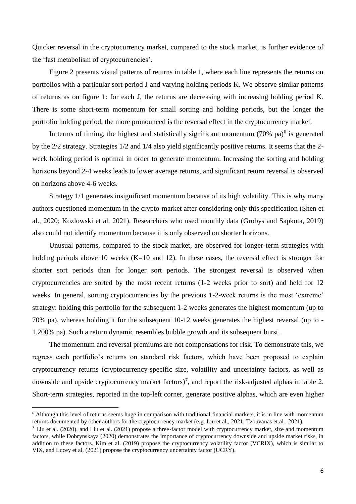Quicker reversal in the cryptocurrency market, compared to the stock market, is further evidence of the 'fast metabolism of cryptocurrencies'.

Figure 2 presents visual patterns of returns in table 1, where each line represents the returns on portfolios with a particular sort period J and varying holding periods K. We observe similar patterns of returns as on figure 1: for each J, the returns are decreasing with increasing holding period K. There is some short-term momentum for small sorting and holding periods, but the longer the portfolio holding period, the more pronounced is the reversal effect in the cryptocurrency market.

In terms of timing, the highest and statistically significant momentum  $(70\% \text{ pa})^6$  is generated by the 2/2 strategy. Strategies 1/2 and 1/4 also yield significantly positive returns. It seems that the 2 week holding period is optimal in order to generate momentum. Increasing the sorting and holding horizons beyond 2-4 weeks leads to lower average returns, and significant return reversal is observed on horizons above 4-6 weeks.

Strategy 1/1 generates insignificant momentum because of its high volatility. This is why many authors questioned momentum in the crypto-market after considering only this specification (Shen et al., 2020; Kozlowski et al. 2021). Researchers who used monthly data (Grobys and Sapkota, 2019) also could not identify momentum because it is only observed on shorter horizons.

Unusual patterns, compared to the stock market, are observed for longer-term strategies with holding periods above 10 weeks (K=10 and 12). In these cases, the reversal effect is stronger for shorter sort periods than for longer sort periods. The strongest reversal is observed when cryptocurrencies are sorted by the most recent returns (1-2 weeks prior to sort) and held for 12 weeks. In general, sorting cryptocurrencies by the previous 1-2-week returns is the most 'extreme' strategy: holding this portfolio for the subsequent 1-2 weeks generates the highest momentum (up to 70% pa), whereas holding it for the subsequent 10-12 weeks generates the highest reversal (up to - 1,200% pa). Such a return dynamic resembles bubble growth and its subsequent burst.

The momentum and reversal premiums are not compensations for risk. To demonstrate this, we regress each portfolio's returns on standard risk factors, which have been proposed to explain cryptocurrency returns (cryptocurrency-specific size, volatility and uncertainty factors, as well as downside and upside cryptocurrency market factors)<sup>7</sup>, and report the risk-adjusted alphas in table 2. Short-term strategies, reported in the top-left corner, generate positive alphas, which are even higher

**.** 

<sup>&</sup>lt;sup>6</sup> Although this level of returns seems huge in comparison with traditional financial markets, it is in line with momentum returns documented by other authors for the cryptocurrency market (e.g. Liu et al., 2021; Tzouvanas et al., 2021).

<sup>&</sup>lt;sup>7</sup> Liu et al. (2020), and Liu et al. (2021) propose a three-factor model with cryptocurrency market, size and momentum factors, while Dobrynskaya (2020) demonstrates the importance of cryptocurrency downside and upside market risks, in addition to these factors. Kim et al. (2019) propose the cryptocurrency volatility factor (VCRIX), which is similar to VIX, and Lucey et al. (2021) propose the cryptocurrency uncertainty factor (UCRY).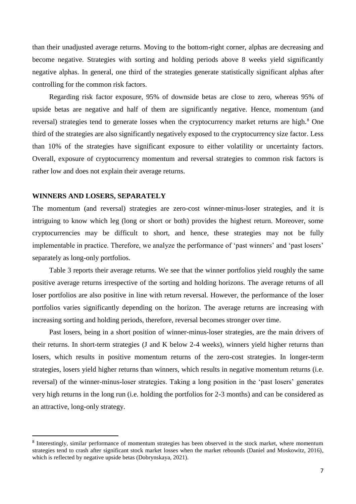than their unadjusted average returns. Moving to the bottom-right corner, alphas are decreasing and become negative. Strategies with sorting and holding periods above 8 weeks yield significantly negative alphas. In general, one third of the strategies generate statistically significant alphas after controlling for the common risk factors.

Regarding risk factor exposure, 95% of downside betas are close to zero, whereas 95% of upside betas are negative and half of them are significantly negative. Hence, momentum (and reversal) strategies tend to generate losses when the cryptocurrency market returns are high.<sup>8</sup> One third of the strategies are also significantly negatively exposed to the cryptocurrency size factor. Less than 10% of the strategies have significant exposure to either volatility or uncertainty factors. Overall, exposure of cryptocurrency momentum and reversal strategies to common risk factors is rather low and does not explain their average returns.

#### **WINNERS AND LOSERS, SEPARATELY**

**.** 

The momentum (and reversal) strategies are zero-cost winner-minus-loser strategies, and it is intriguing to know which leg (long or short or both) provides the highest return. Moreover, some cryptocurrencies may be difficult to short, and hence, these strategies may not be fully implementable in practice. Therefore, we analyze the performance of 'past winners' and 'past losers' separately as long-only portfolios.

Table 3 reports their average returns. We see that the winner portfolios yield roughly the same positive average returns irrespective of the sorting and holding horizons. The average returns of all loser portfolios are also positive in line with return reversal. However, the performance of the loser portfolios varies significantly depending on the horizon. The average returns are increasing with increasing sorting and holding periods, therefore, reversal becomes stronger over time.

Past losers, being in a short position of winner-minus-loser strategies, are the main drivers of their returns. In short-term strategies (J and K below 2-4 weeks), winners yield higher returns than losers, which results in positive momentum returns of the zero-cost strategies. In longer-term strategies, losers yield higher returns than winners, which results in negative momentum returns (i.e. reversal) of the winner-minus-loser strategies. Taking a long position in the 'past losers' generates very high returns in the long run (i.e. holding the portfolios for 2-3 months) and can be considered as an attractive, long-only strategy.

<sup>&</sup>lt;sup>8</sup> Interestingly, similar performance of momentum strategies has been observed in the stock market, where momentum strategies tend to crash after significant stock market losses when the market rebounds (Daniel and Moskowitz, 2016), which is reflected by negative upside betas (Dobrynskaya, 2021).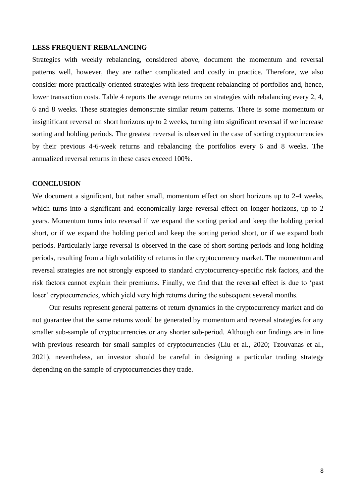#### **LESS FREQUENT REBALANCING**

Strategies with weekly rebalancing, considered above, document the momentum and reversal patterns well, however, they are rather complicated and costly in practice. Therefore, we also consider more practically-oriented strategies with less frequent rebalancing of portfolios and, hence, lower transaction costs. Table 4 reports the average returns on strategies with rebalancing every 2, 4, 6 and 8 weeks. These strategies demonstrate similar return patterns. There is some momentum or insignificant reversal on short horizons up to 2 weeks, turning into significant reversal if we increase sorting and holding periods. The greatest reversal is observed in the case of sorting cryptocurrencies by their previous 4-6-week returns and rebalancing the portfolios every 6 and 8 weeks. The annualized reversal returns in these cases exceed 100%.

## **CONCLUSION**

We document a significant, but rather small, momentum effect on short horizons up to 2-4 weeks, which turns into a significant and economically large reversal effect on longer horizons, up to 2 years. Momentum turns into reversal if we expand the sorting period and keep the holding period short, or if we expand the holding period and keep the sorting period short, or if we expand both periods. Particularly large reversal is observed in the case of short sorting periods and long holding periods, resulting from a high volatility of returns in the cryptocurrency market. The momentum and reversal strategies are not strongly exposed to standard cryptocurrency-specific risk factors, and the risk factors cannot explain their premiums. Finally, we find that the reversal effect is due to 'past loser' cryptocurrencies, which yield very high returns during the subsequent several months.

Our results represent general patterns of return dynamics in the cryptocurrency market and do not guarantee that the same returns would be generated by momentum and reversal strategies for any smaller sub-sample of cryptocurrencies or any shorter sub-period. Although our findings are in line with previous research for small samples of cryptocurrencies (Liu et al., 2020; Tzouvanas et al., 2021), nevertheless, an investor should be careful in designing a particular trading strategy depending on the sample of cryptocurrencies they trade.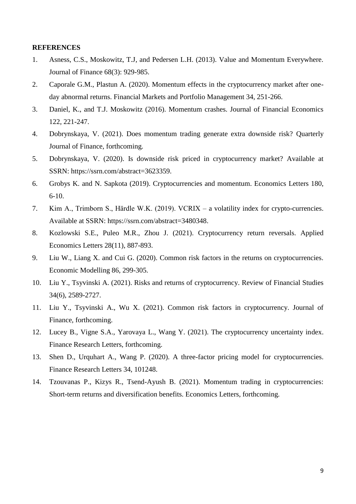#### **REFERENCES**

- 1. Asness, C.S., Moskowitz, T.J, and Pedersen L.H. (2013). Value and Momentum Everywhere. Journal of Finance 68(3): 929-985.
- 2. Caporale G.M., Plastun A. (2020). Momentum effects in the cryptocurrency market after oneday abnormal returns. Financial Markets and Portfolio Management 34, 251-266.
- 3. Daniel, K., and T.J. Moskowitz (2016). Momentum crashes. Journal of Financial Economics 122, 221-247.
- 4. Dobrynskaya, V. (2021). Does momentum trading generate extra downside risk? Quarterly Journal of Finance, forthcoming.
- 5. Dobrynskaya, V. (2020). Is downside risk priced in cryptocurrency market? Available at SSRN: https://ssrn.com/abstract=3623359.
- 6. Grobys K. and N. Sapkota (2019). Cryptocurrencies and momentum. Economics Letters 180, 6-10.
- 7. Kim A., Trimborn S., Härdle W.K. (2019). VCRIX a volatility index for crypto-currencies. Available at SSRN: [https://ssrn.com/abstract=3480348.](https://ssrn.com/abstract=3480348)
- 8. Kozlowski S.E., Puleo M.R., Zhou J. (2021). Cryptocurrency return reversals. Applied Economics Letters 28(11), 887-893.
- 9. Liu W., Liang X. and Cui G. (2020). Common risk factors in the returns on cryptocurrencies. Economic Modelling 86, 299-305.
- 10. Liu Y., Tsyvinski A. (2021). Risks and returns of cryptocurrency. Review of Financial Studies 34(6), 2589-2727.
- 11. Liu Y., Tsyvinski A., Wu X. (2021). Common risk factors in cryptocurrency. Journal of Finance, forthcoming.
- 12. Lucey B., Vigne S.A., Yarovaya L., Wang Y. (2021). The cryptocurrency uncertainty index. Finance Research Letters, forthcoming.
- 13. Shen D., Urquhart A., Wang P. (2020). A three-factor pricing model for cryptocurrencies. Finance Research Letters 34, 101248.
- 14. Tzouvanas P., Kizys R., Tsend-Ayush B. (2021). Momentum trading in cryptocurrencies: Short-term returns and diversification benefits. Economics Letters, forthcoming.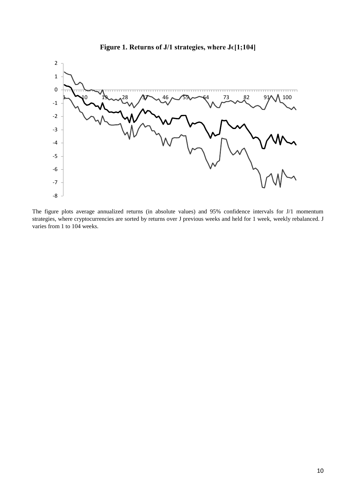

**Figure 1. Returns of J/1 strategies, where Jϵ[1;104]**

The figure plots average annualized returns (in absolute values) and 95% confidence intervals for J/1 momentum strategies, where cryptocurrencies are sorted by returns over J previous weeks and held for 1 week, weekly rebalanced. J varies from 1 to 104 weeks.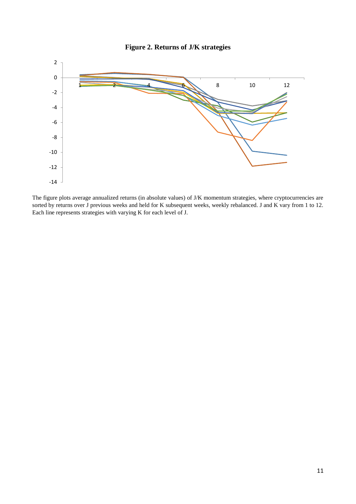

The figure plots average annualized returns (in absolute values) of J/K momentum strategies, where cryptocurrencies are sorted by returns over J previous weeks and held for K subsequent weeks, weekly rebalanced. J and K vary from 1 to 12. Each line represents strategies with varying K for each level of J.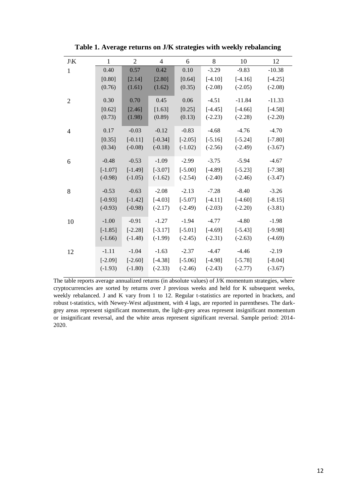| $J\backslash K$ | $\mathbf{1}$ | $\overline{2}$ | $\overline{4}$ | 6         | 8         | 10        | 12        |
|-----------------|--------------|----------------|----------------|-----------|-----------|-----------|-----------|
| $\mathbf{1}$    | 0.40         | 0.57           | 0.42           | 0.10      | $-3.29$   | $-9.83$   | $-10.38$  |
|                 | [0.80]       | [2.14]         | [2.80]         | [0.64]    | $[-4.10]$ | $[-4.16]$ | $[-4.25]$ |
|                 | (0.76)       | (1.61)         | (1.62)         | (0.35)    | $(-2.08)$ | $(-2.05)$ | $(-2.08)$ |
| $\overline{2}$  | 0.30         | 0.70           | 0.45           | 0.06      | $-4.51$   | $-11.84$  | $-11.33$  |
|                 | [0.62]       | [2.46]         | [1.63]         | [0.25]    | $[-4.45]$ | $[-4.66]$ | $[-4.58]$ |
|                 | (0.73)       | (1.98)         | (0.89)         | (0.13)    | $(-2.23)$ | $(-2.28)$ | $(-2.20)$ |
| $\overline{4}$  | 0.17         | $-0.03$        | $-0.12$        | $-0.83$   | $-4.68$   | $-4.76$   | $-4.70$   |
|                 | [0.35]       | $[-0.11]$      | $[-0.34]$      | $[-2.05]$ | $[-5.16]$ | $[-5.24]$ | $[-7.80]$ |
|                 | (0.34)       | $(-0.08)$      | $(-0.18)$      | $(-1.02)$ | $(-2.56)$ | $(-2.49)$ | $(-3.67)$ |
| 6               | $-0.48$      | $-0.53$        | $-1.09$        | $-2.99$   | $-3.75$   | $-5.94$   | $-4.67$   |
|                 | $[-1.07]$    | $[-1.49]$      | $[-3.07]$      | $[-5.00]$ | $[-4.89]$ | $[-5.23]$ | $[-7.38]$ |
|                 | $(-0.98)$    | $(-1.05)$      | $(-1.62)$      | $(-2.54)$ | $(-2.40)$ | $(-2.46)$ | $(-3.47)$ |
| 8               | $-0.53$      | $-0.63$        | $-2.08$        | $-2.13$   | $-7.28$   | $-8.40$   | $-3.26$   |
|                 | $[-0.93]$    | $[-1.42]$      | $[-4.03]$      | $[-5.07]$ | $[-4.11]$ | $[-4.60]$ | $[-8.15]$ |
|                 | $(-0.93)$    | $(-0.98)$      | $(-2.17)$      | $(-2.49)$ | $(-2.03)$ | $(-2.20)$ | $(-3.81)$ |
| 10              | $-1.00$      | $-0.91$        | $-1.27$        | $-1.94$   | $-4.77$   | $-4.80$   | $-1.98$   |
|                 | $[-1.85]$    | $[-2.28]$      | $[-3.17]$      | $[-5.01]$ | $[-4.69]$ | $[-5.43]$ | $[-9.98]$ |
|                 | $(-1.66)$    | $(-1.48)$      | $(-1.99)$      | $(-2.45)$ | $(-2.31)$ | $(-2.63)$ | $(-4.69)$ |
| 12              | $-1.11$      | $-1.04$        | $-1.63$        | $-2.37$   | $-4.47$   | $-4.46$   | $-2.19$   |
|                 | $[-2.09]$    | $[-2.60]$      | $[-4.38]$      | $[-5.06]$ | $[-4.98]$ | $[-5.78]$ | $[-8.04]$ |
|                 | $(-1.93)$    | $(-1.80)$      | $(-2.33)$      | $(-2.46)$ | $(-2.43)$ | $(-2.77)$ | $(-3.67)$ |

**Table 1. Average returns on J/K strategies with weekly rebalancing**

The table reports average annualized returns (in absolute values) of J/K momentum strategies, where cryptocurrencies are sorted by returns over J previous weeks and held for K subsequent weeks, weekly rebalanced. J and K vary from 1 to 12. Regular t-statistics are reported in brackets, and robust t-statistics, with Newey-West adjustment, with 4 lags, are reported in parentheses. The darkgrey areas represent significant momentum, the light-grey areas represent insignificant momentum or insignificant reversal, and the white areas represent significant reversal. Sample period: 2014- 2020.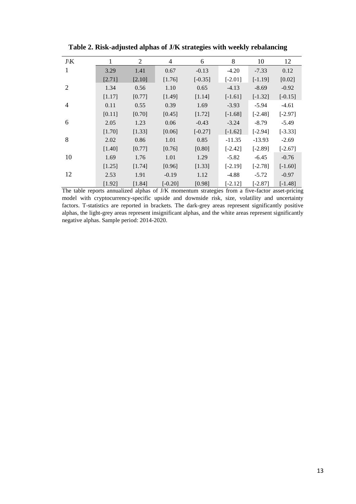| $J\backslash K$ | 1      | 2      | 4         | 6         | 8         | 10        | 12        |
|-----------------|--------|--------|-----------|-----------|-----------|-----------|-----------|
| 1               | 3.29   | 1.41   | 0.67      | $-0.13$   | $-4.20$   | $-7.33$   | 0.12      |
|                 | [2.71] | [2.10] | [1.76]    | $[-0.35]$ | $[-2.01]$ | $[-1.19]$ | [0.02]    |
| 2               | 1.34   | 0.56   | 1.10      | 0.65      | $-4.13$   | $-8.69$   | $-0.92$   |
|                 | [1.17] | [0.77] | [1.49]    | [1.14]    | $[-1.61]$ | $[-1.32]$ | $[-0.15]$ |
| $\overline{4}$  | 0.11   | 0.55   | 0.39      | 1.69      | $-3.93$   | $-5.94$   | $-4.61$   |
|                 | [0.11] | [0.70] | [0.45]    | [1.72]    | $[-1.68]$ | $[-2.48]$ | $[-2.97]$ |
| 6               | 2.05   | 1.23   | 0.06      | $-0.43$   | $-3.24$   | $-8.79$   | $-5.49$   |
|                 | [1.70] | [1.33] | [0.06]    | $[-0.27]$ | $[-1.62]$ | $[-2.94]$ | $[-3.33]$ |
| 8               | 2.02   | 0.86   | 1.01      | 0.85      | $-11.35$  | $-13.93$  | $-2.69$   |
|                 | [1.40] | [0.77] | [0.76]    | [0.80]    | $[-2.42]$ | $[-2.89]$ | $[-2.67]$ |
| 10              | 1.69   | 1.76   | 1.01      | 1.29      | $-5.82$   | $-6.45$   | $-0.76$   |
|                 | [1.25] | [1.74] | [0.96]    | [1.33]    | $[-2.19]$ | $[-2.78]$ | $[-1.60]$ |
| 12              | 2.53   | 1.91   | $-0.19$   | 1.12      | $-4.88$   | $-5.72$   | $-0.97$   |
|                 | [1.92] | [1.84] | $[-0.20]$ | [0.98]    | $[-2.12]$ | $[-2.87]$ | $[-1.48]$ |

**Table 2. Risk-adjusted alphas of J/K strategies with weekly rebalancing**

The table reports annualized alphas of J/K momentum strategies from a five-factor asset-pricing model with cryptocurrency-specific upside and downside risk, size, volatility and uncertainty factors. T-statistics are reported in brackets. The dark-grey areas represent significantly positive alphas, the light-grey areas represent insignificant alphas, and the white areas represent significantly negative alphas. Sample period: 2014-2020.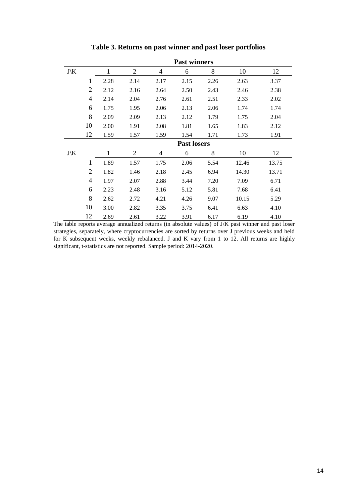|                 |                | <b>Past winners</b> |                |                |      |      |       |       |  |  |
|-----------------|----------------|---------------------|----------------|----------------|------|------|-------|-------|--|--|
| $J\backslash K$ |                | $\mathbf{1}$        | $\overline{2}$ | $\overline{4}$ | 6    | 8    | 10    | 12    |  |  |
|                 | 1              | 2.28                | 2.14           | 2.17           | 2.15 | 2.26 | 2.63  | 3.37  |  |  |
|                 | $\overline{2}$ | 2.12                | 2.16           | 2.64           | 2.50 | 2.43 | 2.46  | 2.38  |  |  |
|                 | $\overline{4}$ | 2.14                | 2.04           | 2.76           | 2.61 | 2.51 | 2.33  | 2.02  |  |  |
|                 | 6              | 1.75                | 1.95           | 2.06           | 2.13 | 2.06 | 1.74  | 1.74  |  |  |
|                 | 8              | 2.09                | 2.09           | 2.13           | 2.12 | 1.79 | 1.75  | 2.04  |  |  |
|                 | 10             | 2.00                | 1.91           | 2.08           | 1.81 | 1.65 | 1.83  | 2.12  |  |  |
|                 | 12             | 1.59                | 1.57           | 1.59           | 1.54 | 1.71 | 1.73  | 1.91  |  |  |
|                 |                | <b>Past losers</b>  |                |                |      |      |       |       |  |  |
| $J\backslash K$ |                | 1                   | $\overline{2}$ | 4              | 6    | 8    | 10    | 12    |  |  |
|                 | 1              | 1.89                | 1.57           | 1.75           | 2.06 | 5.54 | 12.46 | 13.75 |  |  |
|                 | $\overline{2}$ | 1.82                | 1.46           | 2.18           | 2.45 | 6.94 | 14.30 | 13.71 |  |  |
|                 | $\overline{4}$ | 1.97                | 2.07           | 2.88           | 3.44 | 7.20 | 7.09  | 6.71  |  |  |
|                 | 6              | 2.23                | 2.48           | 3.16           | 5.12 | 5.81 | 7.68  | 6.41  |  |  |
|                 | 8              | 2.62                | 2.72           | 4.21           | 4.26 | 9.07 | 10.15 | 5.29  |  |  |
|                 | 10             | 3.00                | 2.82           | 3.35           | 3.75 | 6.41 | 6.63  | 4.10  |  |  |
|                 | 12             | 2.69                | 2.61           | 3.22           | 3.91 | 6.17 | 6.19  | 4.10  |  |  |

**Table 3. Returns on past winner and past loser portfolios**

The table reports average annualized returns (in absolute values) of J/K past winner and past loser strategies, separately, where cryptocurrencies are sorted by returns over J previous weeks and held for K subsequent weeks, weekly rebalanced. J and K vary from 1 to 12. All returns are highly significant, t-statistics are not reported. Sample period: 2014-2020.